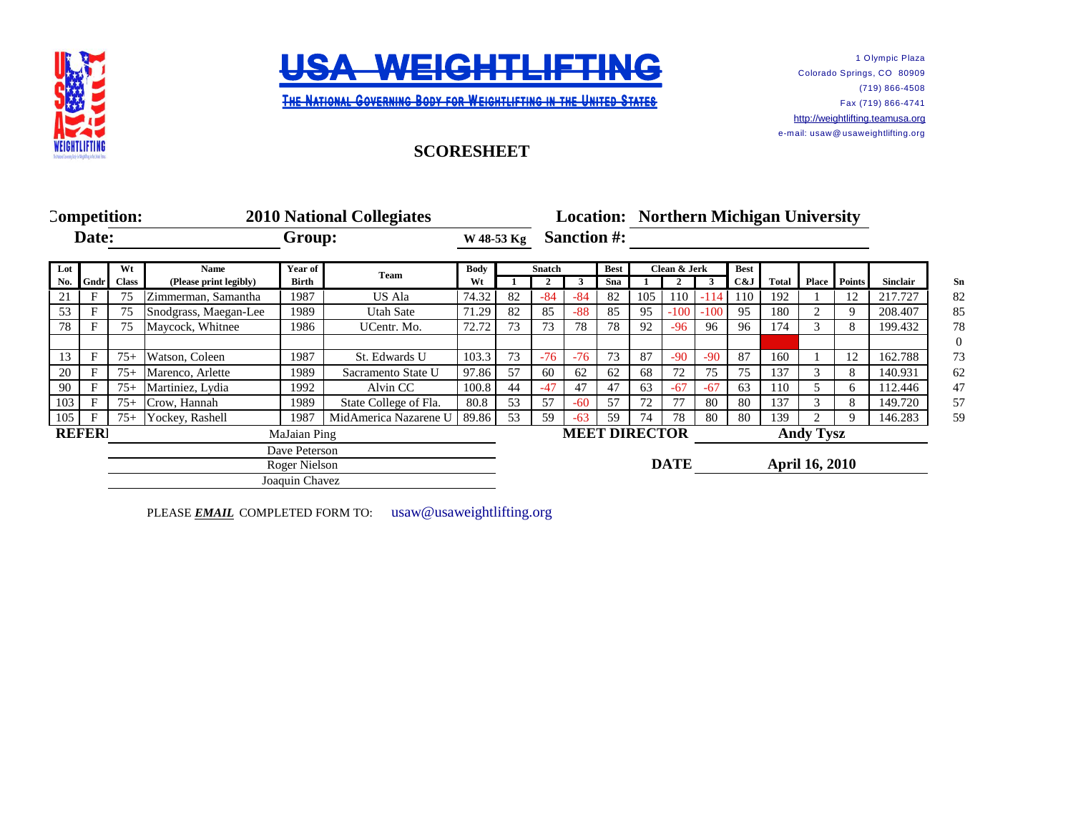



**THE NATIONAL GOVERNING BODY FOR WEIGHTLIFTING IN THE UNITED STATES** 

1 Olympic Plaza Colorado Springs, CO 80909 (719) 866-4508 Fax (719) 866-4741 [http://](http://weightlifting.teamusa.org/)weightlifting.teamusa.org e-mail: usaw@ usaweightlifting.org

## **SCORESHEET**

| Competition:<br>Date: |                                |              | <b>2010 National Collegiates</b>              |               |                       |             |    |                                          |                                      |             |              | <b>Location: Northern Michigan University</b> |             |            |                     |   |                     |                            |  |
|-----------------------|--------------------------------|--------------|-----------------------------------------------|---------------|-----------------------|-------------|----|------------------------------------------|--------------------------------------|-------------|--------------|-----------------------------------------------|-------------|------------|---------------------|---|---------------------|----------------------------|--|
|                       |                                |              |                                               | Group:        |                       | W 48-53 Kg  |    | <b>Sanction #:</b>                       |                                      |             |              |                                               |             |            |                     |   |                     |                            |  |
| Lot                   | Wt                             |              | <b>Name</b>                                   | Year of       | Team                  | <b>Body</b> |    | <b>Snatch</b>                            |                                      | <b>Best</b> | Clean & Jerk |                                               | <b>Best</b> |            |                     |   |                     |                            |  |
| No.<br>21             | Gndr                           | Class<br>75  | (Please print legibly)<br>Zimmerman, Samantha | Birth<br>1987 | US Ala                | Wt<br>74.32 | 82 | $-84$                                    | 3<br>$-84$                           | Sna<br>82   | 105          | 110                                           | 3<br>$-114$ | C&J<br>110 | <b>Total</b><br>192 |   | <b>Place</b> Points | <b>Sinclair</b><br>217.727 |  |
| 53                    |                                | 75           | Snodgrass, Maegan-Lee                         | 1989          | Utah Sate             | 71.29       | 82 | 85                                       | $-88$                                | 85          | 95           | $-100$                                        | $-100$      | 95         | 180                 |   |                     | 208.407                    |  |
| 78                    |                                | 75           | Maycock, Whitnee                              | 1986          | UCentr. Mo.           | 72.72       | 73 | 73                                       | 78                                   | 78          | 92           | $-96$                                         | 96          | 96         | 174                 | 3 |                     | 199.432                    |  |
|                       |                                |              |                                               |               |                       |             |    |                                          |                                      |             |              |                                               |             |            |                     |   |                     |                            |  |
| 13                    |                                | $75+$        | Watson, Coleen                                | 1987          | St. Edwards U         | 103.3       | 73 | $-76$                                    | $-76$                                | 73          | 87           | $-90$                                         | $-90$       | 87         | 160                 |   | 12                  | 162.788                    |  |
| 20                    |                                | $75+$        | Marenco, Arlette                              | 1989          | Sacramento State U    | 97.86       | 57 | 60                                       | 62                                   | 62          | 68           | 72                                            | 75          | 75         | 137                 | 3 | 8                   | 140.931                    |  |
| 90                    |                                | $75+$        | Martiniez, Lydia                              | 1992          | Alvin CC              | 100.8       | 44 | $-47$                                    | 47                                   | 47          | 63           | $-67$                                         | $-67$       | 63         | 110                 |   | n                   | 112.446                    |  |
| 103                   |                                | $75+$        | Crow, Hannah                                  | 1989          | State College of Fla. | 80.8        | 53 | 57                                       | $-60$                                | 57          | 72           | 77                                            | 80          | 80         | 137                 | 3 | 8                   | 149.720                    |  |
| 105                   |                                | $75+$        | Yockey, Rashell                               | 1987          | MidAmerica Nazarene U | 89.86       | 53 | 59                                       | $-63$                                | 59          | 74           | 78                                            | 80          | 80         | 139                 |   |                     | 146.283                    |  |
|                       | <b>REFERI</b>                  | MaJaian Ping |                                               |               |                       |             |    | <b>MEET DIRECTOR</b><br><b>Andy Tysz</b> |                                      |             |              |                                               |             |            |                     |   |                     |                            |  |
|                       | Dave Peterson<br>Roger Nielson |              |                                               |               |                       |             |    |                                          | <b>DATE</b><br><b>April 16, 2010</b> |             |              |                                               |             |            |                     |   |                     |                            |  |
| Joaquin Chavez        |                                |              |                                               |               |                       |             |    |                                          |                                      |             |              |                                               |             |            |                     |   |                     |                            |  |

PLEASE **EMAIL** COMPLETED FORM TO: usaw@usaweightlifting.org